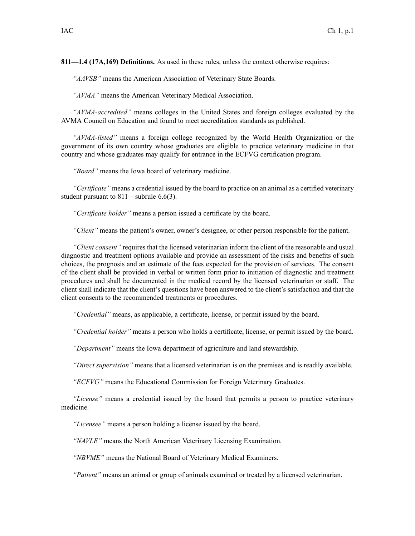**811—1.4 (17A,169) Definitions.** As used in these rules, unless the context otherwise requires:

*"AAVSB"* means the American Association of Veterinary State Boards.

*"AVMA"* means the American Veterinary Medical Association.

*"AVMA-accredited"* means colleges in the United States and foreign colleges evaluated by the AVMA Council on Education and found to meet accreditation standards as published.

*"AVMA-listed"* means <sup>a</sup> foreign college recognized by the World Health Organization or the governmen<sup>t</sup> of its own country whose graduates are eligible to practice veterinary medicine in that country and whose graduates may qualify for entrance in the ECFVG certification program.

*"Board"* means the Iowa board of veterinary medicine.

*"Certificate"* means <sup>a</sup> credential issued by the board to practice on an animal as <sup>a</sup> certified veterinary student pursuan<sup>t</sup> to 811—subrule 6.6(3).

*"Certificate holder"* means <sup>a</sup> person issued <sup>a</sup> certificate by the board.

*"Client"* means the patient's owner, owner's designee, or other person responsible for the patient.

*"Client consent"* requires that the licensed veterinarian inform the client of the reasonable and usual diagnostic and treatment options available and provide an assessment of the risks and benefits of such choices, the prognosis and an estimate of the fees expected for the provision of services. The consent of the client shall be provided in verbal or written form prior to initiation of diagnostic and treatment procedures and shall be documented in the medical record by the licensed veterinarian or staff. The client shall indicate that the client's questions have been answered to the client's satisfaction and that the client consents to the recommended treatments or procedures.

*"Credential"* means, as applicable, <sup>a</sup> certificate, license, or permit issued by the board.

*"Credential holder"* means <sup>a</sup> person who holds <sup>a</sup> certificate, license, or permit issued by the board.

*"Department"* means the Iowa department of agriculture and land stewardship.

*"Direct supervision"* means that <sup>a</sup> licensed veterinarian is on the premises and is readily available.

*"ECFVG"* means the Educational Commission for Foreign Veterinary Graduates.

*"License"* means <sup>a</sup> credential issued by the board that permits <sup>a</sup> person to practice veterinary medicine.

*"Licensee"* means <sup>a</sup> person holding <sup>a</sup> license issued by the board.

*"NAVLE"* means the North American Veterinary Licensing Examination.

*"NBVME"* means the National Board of Veterinary Medical Examiners.

*"Patient"* means an animal or group of animals examined or treated by <sup>a</sup> licensed veterinarian.